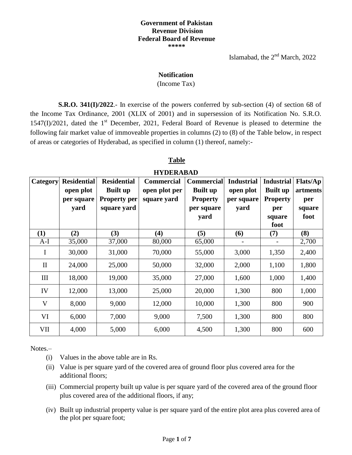### **Government of Pakistan Revenue Division Federal Board of Revenue \*\*\*\*\***

Islamabad, the  $2<sup>nd</sup>$  March, 2022

### **Notification**

### (Income Tax)

**S.R.O. 341(I)/2022**.- In exercise of the powers conferred by sub-section (4) of section 68 of the Income Tax Ordinance, 2001 (XLIX of 2001) and in supersession of its Notification No. S.R.O. 1547(I)/2021, dated the 1<sup>st</sup> December, 2021, Federal Board of Revenue is pleased to determine the following fair market value of immoveable properties in columns (2) to (8) of the Table below, in respect of areas or categories of Hyderabad, as specified in column (1) thereof, namely:-

## **Table**

# **HYDERABAD**

| Category     | <b>Residential</b> | <b>Residential</b>  | <b>Commercial</b> | <b>Commercial</b> | <b>Industrial</b> | <b>Industrial</b> | <b>Flats/Ap</b> |
|--------------|--------------------|---------------------|-------------------|-------------------|-------------------|-------------------|-----------------|
|              | open plot          | <b>Built up</b>     | open plot per     | <b>Built up</b>   | open plot         | <b>Built up</b>   | artments        |
|              | per square         | <b>Property per</b> | square yard       | <b>Property</b>   | per square        | <b>Property</b>   | per             |
|              | yard               | square yard         |                   | per square        | yard              | per               | square          |
|              |                    |                     |                   | yard              |                   | square            | foot            |
|              |                    |                     |                   |                   |                   | foot              |                 |
| (1)          | (2)                | (3)                 | (4)               | (5)               | (6)               | (7)               | (8)             |
| $A-I$        | 35,000             | 37,000              | 80,000            | 65,000            |                   |                   | 2,700           |
| $\bf{I}$     | 30,000             | 31,000              | 70,000            | 55,000            | 3,000             | 1,350             | 2,400           |
| $\mathbf{I}$ | 24,000             | 25,000              | 50,000            | 32,000            | 2,000             | 1,100             | 1,800           |
| III          | 18,000             | 19,000              | 35,000            | 27,000            | 1,600             | 1,000             | 1,400           |
| IV           | 12,000             | 13,000              | 25,000            | 20,000            | 1,300             | 800               | 1,000           |
| V            | 8,000              | 9,000               | 12,000            | 10,000            | 1,300             | 800               | 900             |
| VI           | 6,000              | 7,000               | 9,000             | 7,500             | 1,300             | 800               | 800             |
| VII          | 4,000              | 5,000               | 6,000             | 4,500             | 1,300             | 800               | 600             |

Notes.–

- (i) Values in the above table are in Rs.
- (ii) Value is per square yard of the covered area of ground floor plus covered area for the additional floors;
- (iii) Commercial property built up value is per square yard of the covered area of the ground floor plus covered area of the additional floors, if any;
- (iv) Built up industrial property value is per square yard of the entire plot area plus covered area of the plot per square foot;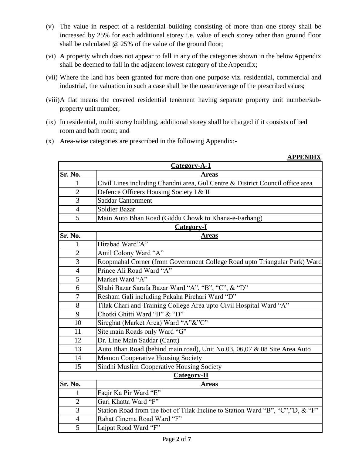- (v) The value in respect of a residential building consisting of more than one storey shall be increased by 25% for each additional storey i.e. value of each storey other than ground floor shall be calculated @ 25% of the value of the ground floor;
- (vi) A property which does not appear to fall in any of the categories shown in the belowAppendix shall be deemed to fall in the adjacent lowest category of the Appendix;
- (vii) Where the land has been granted for more than one purpose viz. residential, commercial and industrial, the valuation in such a case shall be the mean/average of the prescribed values;
- (viii)A flat means the covered residential tenement having separate property unit number/subproperty unit number;

**APPENDIX**

- (ix) In residential, multi storey building, additional storey shall be charged if it consists of bed room and bath room; and
- (x) Area-wise categories are prescribed in the following Appendix:-

|                | Category-A-1                                                                   |
|----------------|--------------------------------------------------------------------------------|
| Sr. No.        | <b>Areas</b>                                                                   |
| 1              | Civil Lines including Chandni area, Gul Centre & District Council office area  |
| $\overline{2}$ | Defence Officers Housing Society I & II                                        |
| 3              | <b>Saddar Cantonment</b>                                                       |
| $\overline{4}$ | <b>Soldier Bazar</b>                                                           |
| 5              | Main Auto Bhan Road (Giddu Chowk to Khana-e-Farhang)                           |
|                | <b>Category-I</b>                                                              |
| Sr. No.        | <b>Areas</b>                                                                   |
| 1              | Hirabad Ward"A"                                                                |
| $\overline{2}$ | Amil Colony Ward "A"                                                           |
| 3              | Roopmahal Corner (from Government College Road upto Triangular Park) Ward      |
| $\overline{4}$ | Prince Ali Road Ward "A"                                                       |
| 5              | Market Ward "A"                                                                |
| 6              | Shahi Bazar Sarafa Bazar Ward "A", "B", "C", & "D"                             |
| 7              | Resham Gali including Pakaha Pirchari Ward "D"                                 |
| 8              | Tilak Chari and Training College Area upto Civil Hospital Ward "A"             |
| 9              | Chotki Ghitti Ward "B" & "D"                                                   |
| 10             | Sireghat (Market Area) Ward "A"&"C"                                            |
| 11             | Site main Roads only Ward "G"                                                  |
| 12             | Dr. Line Main Saddar (Cantt)                                                   |
| 13             | Auto Bhan Road (behind main road), Unit No.03, 06,07 & 08 Site Area Auto       |
| 14             | <b>Memon Cooperative Housing Society</b>                                       |
| 15             | Sindhi Muslim Cooperative Housing Society                                      |
|                | Category-II                                                                    |
| Sr. No.        | <b>Areas</b>                                                                   |
| 1              | Faqir Ka Pir Ward "E"                                                          |
| $\overline{2}$ | Gari Khatta Ward "F"                                                           |
| 3              | Station Road from the foot of Tilak Incline to Station Ward "B", "C","D, & "F" |
| $\overline{4}$ | Rahat Cinema Road Ward "F"                                                     |
| 5              | Lajpat Road Ward "F"                                                           |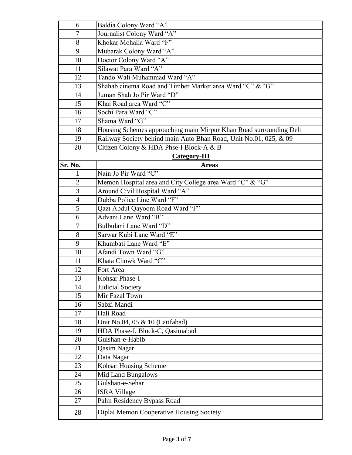| 6              | Baldia Colony Ward "A"                                            |  |
|----------------|-------------------------------------------------------------------|--|
| $\overline{7}$ | Journalist Colony Ward "A"                                        |  |
| 8              | Khokar Mohalla Ward "F"                                           |  |
| 9              | Mubarak Colony Ward "A"                                           |  |
| 10             | Doctor Colony Ward "A"                                            |  |
| 11             | Silawat Para Ward "A"                                             |  |
| 12             | Tando Wali Muhammad Ward "A"                                      |  |
| 13             | Shahab cinema Road and Timber Market area Ward "C" & "G"          |  |
| 14             | Juman Shah Jo Pir Ward "D"                                        |  |
| 15             | Khai Road area Ward "C"                                           |  |
| 16             | Sochi Para Ward "C"                                               |  |
| 17             | Shama Ward "G"                                                    |  |
| 18             | Housing Schemes approaching main Mirpur Khan Road surrounding Deh |  |
| 19             | Railway Society behind main Auto Bhan Road, Unit No.01, 025, & 09 |  |
| 20             | Citizen Colony & HDA Phse-I Block-A & B                           |  |
|                | <b>Category-III</b>                                               |  |
| Sr. No.        | <b>Areas</b>                                                      |  |
| 1              | Nain Jo Pir Ward "C"                                              |  |
| $\mathbf{2}$   | Memon Hospital area and City College area Ward "C" & "G"          |  |
| 3              | Around Civil Hospital Ward "A"                                    |  |
| $\overline{4}$ | Dubba Police Line Ward "F"                                        |  |
| 5              | Qazi Abdul Qayoom Road Ward "F"                                   |  |
| 6              | Advani Lane Ward "B"                                              |  |
| $\tau$         | Bulbulani Lane Ward "D"                                           |  |
| 8              | Sarwar Kubi Lane Ward "E"                                         |  |
| 9              | Khumbati Lane Ward "E"                                            |  |
| 10             | Afandi Town Ward "G"                                              |  |
| 11             | Khata Chowk Ward "C"                                              |  |
| 12             | Fort Area                                                         |  |
| 13             | Kohsar Phase-I                                                    |  |
| 14             | <b>Judicial Society</b>                                           |  |
| 15             | Mir Fazal Town                                                    |  |
| 16             | Sabzi Mandi                                                       |  |
| 17             | Hali Road                                                         |  |
| 18             | Unit No.04, 05 & 10 (Latifabad)                                   |  |
| 19             | HDA Phase-I, Block-C, Qasimabad                                   |  |
| 20             | Gulshan-e-Habib                                                   |  |
| 21             | Qasim Nagar                                                       |  |
| 22             | Data Nagar                                                        |  |
| 23             | Kohsar Housing Scheme                                             |  |
| 24             | Mid Land Bungalows                                                |  |
| 25             | Gulshan-e-Sehar                                                   |  |
| 26             | <b>ISRA Village</b>                                               |  |
| 27             | Palm Residency Bypass Road                                        |  |
| 28             | Diplai Memon Cooperative Housing Society                          |  |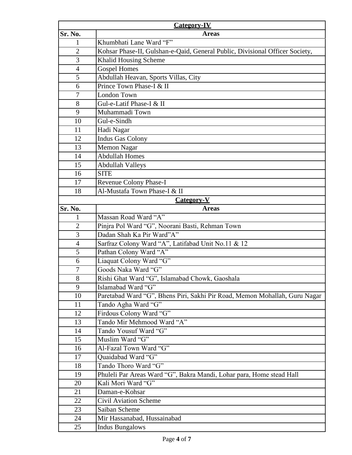| <b>Category-IV</b> |                                                                              |  |
|--------------------|------------------------------------------------------------------------------|--|
| Sr. No.            | <b>Areas</b>                                                                 |  |
| 1                  | Khumbhati Lane Ward "F"                                                      |  |
| $\overline{2}$     | Kohsar Phase-II, Gulshan-e-Qaid, General Public, Divisional Officer Society, |  |
| 3                  | Khalid Housing Scheme                                                        |  |
| $\overline{4}$     | <b>Gospel Homes</b>                                                          |  |
| 5                  | Abdullah Heavan, Sports Villas, City                                         |  |
| 6                  | Prince Town Phase-I & II                                                     |  |
| $\tau$             | London Town                                                                  |  |
| 8                  | Gul-e-Latif Phase-I & II                                                     |  |
| 9                  | Muhammadi Town                                                               |  |
| 10                 | Gul-e-Sindh                                                                  |  |
| 11                 | Hadi Nagar                                                                   |  |
| 12                 | <b>Indus Gas Colony</b>                                                      |  |
| 13                 | <b>Memon Nagar</b>                                                           |  |
| 14                 | <b>Abdullah Homes</b>                                                        |  |
| 15                 | <b>Abdullah Valleys</b>                                                      |  |
| 16                 | <b>SITE</b>                                                                  |  |
| 17                 | Revenue Colony Phase-I                                                       |  |
| 18                 | Al-Mustafa Town Phase-I & II                                                 |  |
|                    | <b>Category-V</b>                                                            |  |
| Sr. No.            | <b>Areas</b>                                                                 |  |
|                    | Massan Road Ward "A"                                                         |  |
| $\overline{2}$     | Pinjra Pol Ward "G", Noorani Basti, Rehman Town                              |  |
| 3                  | Dadan Shah Ka Pir Ward"A"                                                    |  |
| $\overline{4}$     | Sarfraz Colony Ward "A", Latifabad Unit No.11 & 12                           |  |
| 5                  | Pathan Colony Ward "A"                                                       |  |
| 6                  | Liaquat Colony Ward "G"                                                      |  |
| $\tau$             | Goods Naka Ward "G"                                                          |  |
| 8                  | Rishi Ghat Ward "G", Islamabad Chowk, Gaoshala                               |  |
| 9                  | Islamabad Ward "G"                                                           |  |
| 10                 | Paretabad Ward "G", Bhens Piri, Sakhi Pir Road, Memon Mohallah, Guru Nagar   |  |
| 11                 | Tando Agha Ward "G"                                                          |  |
| 12                 | Firdous Colony Ward "G"                                                      |  |
| 13                 | Tando Mir Mehmood Ward "A"                                                   |  |
| 14                 | Tando Yousuf Ward "G"                                                        |  |
| 15                 | Muslim Ward "G"                                                              |  |
| 16                 | Al-Fazal Town Ward "G"                                                       |  |
| 17                 | Quaidabad Ward "G"                                                           |  |
| 18                 | Tando Thoro Ward "G"                                                         |  |
| 19                 | Phuleli Par Areas Ward "G", Bakra Mandi, Lohar para, Home stead Hall         |  |
| 20                 | Kali Mori Ward "G"                                                           |  |
| 21                 | Daman-e-Kohsar                                                               |  |
| 22                 | <b>Civil Aviation Scheme</b>                                                 |  |
| 23                 | Saiban Scheme                                                                |  |
| 24                 | Mir Hassanabad, Hussainabad                                                  |  |
| 25                 | <b>Indus Bungalows</b>                                                       |  |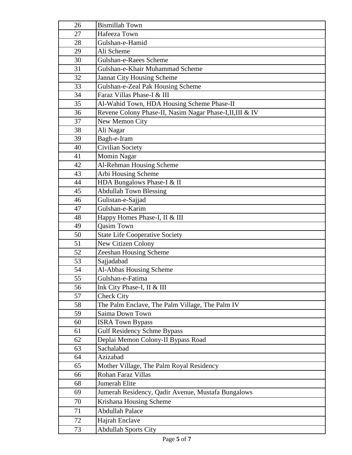| 26       | <b>Bismillah Town</b>                                              |
|----------|--------------------------------------------------------------------|
| 27       | Hafeeza Town                                                       |
| 28       | Gulshan-e-Hamid                                                    |
| 29       | Ali Scheme                                                         |
| 30       | Gulshan-e-Raees Scheme                                             |
| 31       | Gulshan-e-Khair Muhammad Scheme                                    |
| 32       | Jannat City Housing Scheme                                         |
| 33       | Gulshan-e-Zeal Pak Housing Scheme                                  |
| 34       | Faraz Villas Phase-I & III                                         |
| 35       | Al-Wahid Town, HDA Housing Scheme Phase-II                         |
| 36       | Revene Colony Phase-II, Nasim Nagar Phase-I, II, III & IV          |
| 37       | New Memon City                                                     |
| 38       | Ali Nagar                                                          |
| 39       | Bagh-e-Iram                                                        |
| 40       | <b>Civilian Society</b>                                            |
| 41       | Momin Nagar                                                        |
| 42       | Al-Rehman Housing Scheme                                           |
| 43       | Arbi Housing Scheme                                                |
| 44       | HDA Bungalows Phase-I & II                                         |
| 45       | <b>Abdullah Town Blessing</b>                                      |
| 46       | Gulistan-e-Sajjad                                                  |
| 47       | Gulshan-e-Karim                                                    |
| 48       | Happy Homes Phase-I, II & III                                      |
| 49       | <b>Qasim Town</b>                                                  |
| 50       | <b>State Life Cooperative Society</b>                              |
| 51       | New Citizen Colony                                                 |
| 52       | Zeeshan Housing Scheme                                             |
| 53       | Sajjadabad                                                         |
| 54       | Al-Abbas Housing Scheme                                            |
| 55       | Gulshan-e-Fatima                                                   |
| 56       | Ink City Phase-I, II & III                                         |
| 57       | <b>Check City</b>                                                  |
| 58<br>59 | The Palm Enclave, The Palm Village, The Palm IV<br>Saima Down Town |
| 60       | <b>ISRA Town Bypass</b>                                            |
| 61       | <b>Gulf Residency Schme Bypass</b>                                 |
| 62       | Deplai Memon Colony-II Bypass Road                                 |
| 63       | Sachalabad                                                         |
| 64       | Azizabad                                                           |
| 65       | Mother Village, The Palm Royal Residency                           |
| 66       | Rohan Faraz Villas                                                 |
| 68       | Jumerah Elite                                                      |
| 69       | Jumerah Residency, Qadir Avenue, Mustafa Bungalows                 |
| 70       | Krishana Housing Scheme                                            |
| 71       | <b>Abdullah Palace</b>                                             |
|          |                                                                    |
| 72       | Hajrah Enclave                                                     |
| 73       | <b>Abdullah Sports City</b>                                        |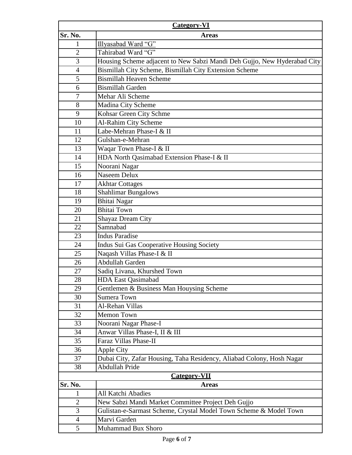| <b>Category-VI</b>  |                                                                          |  |
|---------------------|--------------------------------------------------------------------------|--|
| Sr. No.             | <b>Areas</b>                                                             |  |
| 1                   | Illyasabad Ward "G"                                                      |  |
| $\overline{2}$      | Tahirabad Ward "G"                                                       |  |
| 3                   | Housing Scheme adjacent to New Sabzi Mandi Deh Gujjo, New Hyderabad City |  |
| $\overline{4}$      | Bismillah City Scheme, Bismillah City Extension Scheme                   |  |
| 5                   | <b>Bismillah Heaven Scheme</b>                                           |  |
| 6                   | <b>Bismillah Garden</b>                                                  |  |
| 7                   | Mehar Ali Scheme                                                         |  |
| 8                   | Madina City Scheme                                                       |  |
| 9                   | Kohsar Green City Schme                                                  |  |
| 10                  | Al-Rahim City Scheme                                                     |  |
| 11                  | Labe-Mehran Phase-I & II                                                 |  |
| 12                  | Gulshan-e-Mehran                                                         |  |
| 13                  | Waqar Town Phase-I & II                                                  |  |
| 14                  | HDA North Qasimabad Extension Phase-I & II                               |  |
| 15                  | Noorani Nagar                                                            |  |
| 16                  | Naseem Delux                                                             |  |
| 17                  | <b>Akhtar Cottages</b>                                                   |  |
| 18                  | <b>Shahlimar Bungalows</b>                                               |  |
| 19                  | <b>Bhitai Nagar</b>                                                      |  |
| 20                  | <b>Bhitai Town</b>                                                       |  |
| 21                  | Shayaz Dream City                                                        |  |
| 22                  | Samnabad                                                                 |  |
| 23                  | <b>Indus Paradise</b>                                                    |  |
| 24                  | Indus Sui Gas Cooperative Housing Society                                |  |
| 25                  | Naqash Villas Phase-I & II                                               |  |
| 26                  | Abdullah Garden                                                          |  |
| 27                  | Sadiq Livana, Khurshed Town                                              |  |
| 28                  | <b>HDA East Qasimabad</b>                                                |  |
| 29                  | Gentlemen & Business Man Houysing Scheme                                 |  |
| 30                  | <b>Sumera Town</b>                                                       |  |
| 31                  | Al-Rehan Villas                                                          |  |
| 32                  | <b>Memon Town</b>                                                        |  |
| 33                  | Noorani Nagar Phase-I                                                    |  |
| 34                  | Anwar Villas Phase-I, II & III                                           |  |
| 35                  | Faraz Villas Phase-II                                                    |  |
| 36                  | <b>Apple City</b>                                                        |  |
| 37                  | Dubai City, Zafar Housing, Taha Residency, Aliabad Colony, Hosh Nagar    |  |
| 38                  | Abdullah Pride                                                           |  |
| <b>Category-VII</b> |                                                                          |  |
| Sr. No.             | <b>Areas</b>                                                             |  |
| 1                   | All Katchi Abadies                                                       |  |
| $\mathbf{2}$        | New Sabzi Mandi Market Committee Project Deh Gujjo                       |  |
| 3                   | Gulistan-e-Sarmast Scheme, Crystal Model Town Scheme & Model Town        |  |
| $\overline{4}$      | Marvi Garden                                                             |  |
| 5                   | Muhammad Bux Shoro                                                       |  |